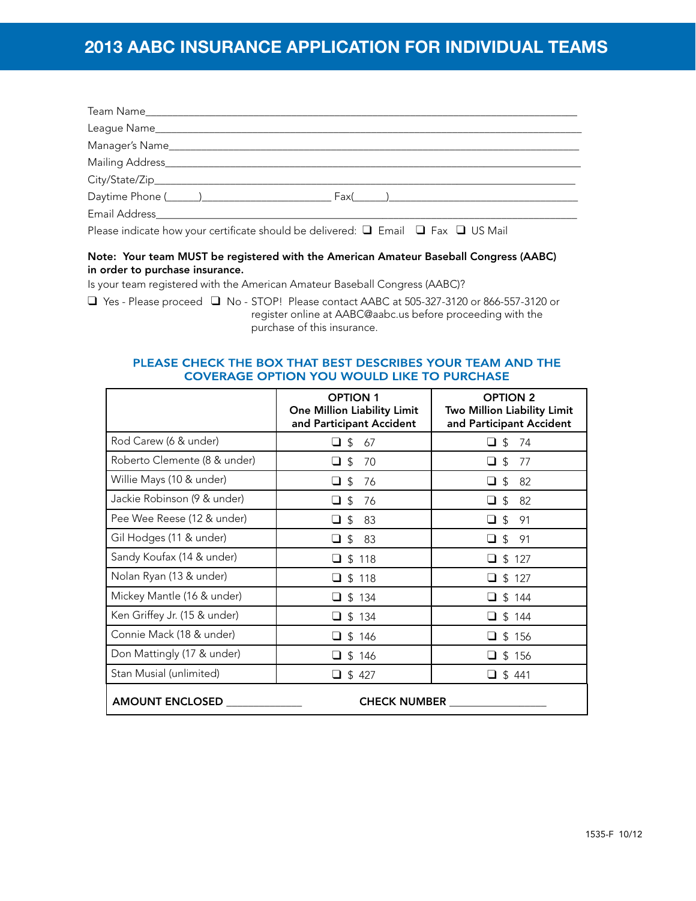# **2013 AABC INSURANCE APPLICATION FOR INDIVIDUAL TEAMS**

| Please indicate how your certificate should be delivered: $\Box$ Email $\Box$ Fax $\Box$ US Mail |
|--------------------------------------------------------------------------------------------------|

### Note: Your team MUST be registered with the American Amateur Baseball Congress (AABC) in order to purchase insurance.

Is your team registered with the American Amateur Baseball Congress (AABC)?

 $\Box$  Yes - Please proceed  $\Box$  No - STOP! Please contact AABC at 505-327-3120 or 866-557-3120 or register online at AABC@aabc.us before proceeding with the purchase of this insurance.

### PLEASE CHECK THE BOX THAT BEST DESCRIBES YOUR TEAM AND THE **COVERAGE OPTION YOU WOULD LIKE TO PURCHASE**

|                              | <b>OPTION 1</b><br><b>One Million Liability Limit</b><br>and Participant Accident | <b>OPTION 2</b><br>Two Million Liability Limit<br>and Participant Accident |  |
|------------------------------|-----------------------------------------------------------------------------------|----------------------------------------------------------------------------|--|
| Rod Carew (6 & under)        | $\Box$ \$<br>67                                                                   | -\$<br>74<br>ப                                                             |  |
| Roberto Clemente (8 & under) | $\Box$ \$<br>70                                                                   | 77<br>$\Box$ \$                                                            |  |
| Willie Mays (10 & under)     | ❏ \$<br>76                                                                        | \$<br>82<br>ப                                                              |  |
| Jackie Robinson (9 & under)  | $\Box$ \$<br>76                                                                   | $\Box$ \$<br>82                                                            |  |
| Pee Wee Reese (12 & under)   | $\Box$ \$<br>83                                                                   | $\Box$ \$<br>91                                                            |  |
| Gil Hodges (11 & under)      | $\Box$ \$<br>83                                                                   | $\Box$ \$<br>-91                                                           |  |
| Sandy Koufax (14 & under)    | \$118                                                                             | \$127                                                                      |  |
| Nolan Ryan (13 & under)      | $\Box$ \$ 118                                                                     | $\Box$ \$ 127                                                              |  |
| Mickey Mantle (16 & under)   | $\Box$ \$ 134                                                                     | $\Box$ \$ 144                                                              |  |
| Ken Griffey Jr. (15 & under) | $\Box$ \$ 134                                                                     | $\Box$ \$ 144                                                              |  |
| Connie Mack (18 & under)     | \$146                                                                             | \$156                                                                      |  |
| Don Mattingly (17 & under)   | $\Box$ \$ 146                                                                     | $\Box$ \$ 156                                                              |  |
| Stan Musial (unlimited)      | \$427<br>∩                                                                        | $\Box$ \$441                                                               |  |
| <b>AMOUNT ENCLOSED</b>       | <b>CHECK NUMBER</b>                                                               |                                                                            |  |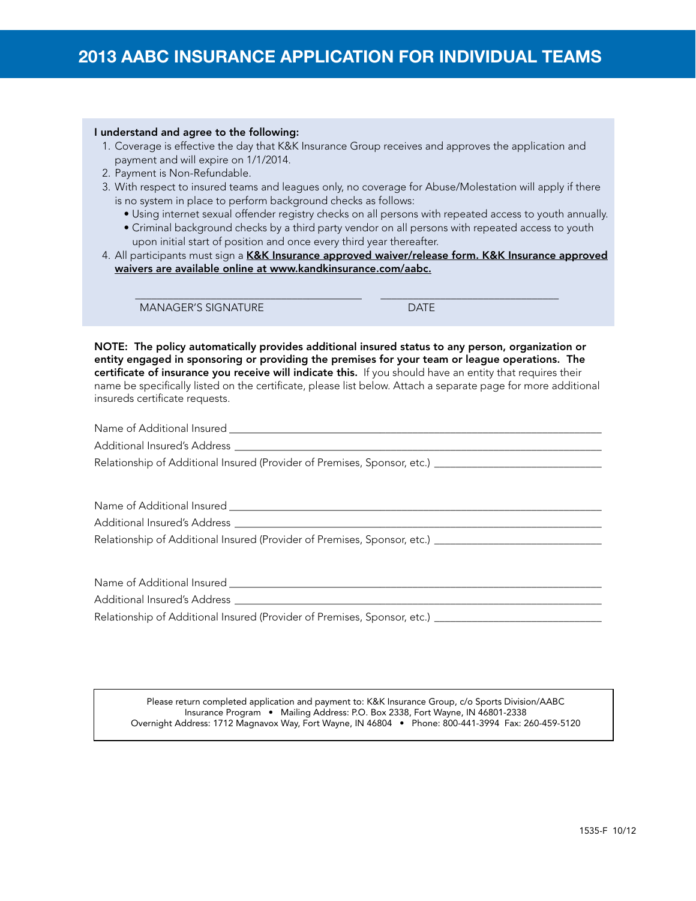#### I understand and agree to the following:

- 1. Coverage is effective the day that K&K Insurance Group receives and approves the application and payment and will expire on 1/1/2014.
- 2. Payment is Non-Refundable.
- 3. With respect to insured teams and leagues only, no coverage for Abuse/Molestation will apply if there is no system in place to perform background checks as follows:
	- Using internet sexual offender registry checks on all persons with repeated access to youth annually.
	- Criminal background checks by a third party vendor on all persons with repeated access to youth upon initial start of position and once every third year thereafter.

4. All participants must sign a K&K Insurance approved waiver/release form. K&K Insurance approved waivers are available online at www.kandkinsurance.com/aabc.

 $\frac{1}{2}$  ,  $\frac{1}{2}$  ,  $\frac{1}{2}$  ,  $\frac{1}{2}$  ,  $\frac{1}{2}$  ,  $\frac{1}{2}$  ,  $\frac{1}{2}$  ,  $\frac{1}{2}$  ,  $\frac{1}{2}$  ,  $\frac{1}{2}$  ,  $\frac{1}{2}$  ,  $\frac{1}{2}$  ,  $\frac{1}{2}$  ,  $\frac{1}{2}$  ,  $\frac{1}{2}$  ,  $\frac{1}{2}$  ,  $\frac{1}{2}$  ,  $\frac{1}{2}$  ,  $\frac{1$ 

MANAGER'S SIGNATURE **DATE** 

NOTE: The policy automatically provides additional insured status to any person, organization or entity engaged in sponsoring or providing the premises for your team or league operations. The certificate of insurance you receive will indicate this. If you should have an entity that requires their name be specifically listed on the certificate, please list below. Attach a separate page for more additional insureds certificate requests.

Name of Additional Insured \_\_\_\_\_\_\_\_\_\_\_\_\_\_\_\_\_\_\_\_\_\_\_\_\_\_\_\_\_\_\_\_\_\_\_\_\_\_\_\_\_\_\_\_\_\_\_\_\_\_\_\_\_\_\_\_\_\_\_\_\_\_\_\_\_\_\_\_\_

Additional Insured's Address \_

Relationship of Additional Insured (Provider of Premises, Sponsor, etc.) \_\_\_\_\_\_\_\_\_\_\_\_\_\_\_\_\_\_\_\_\_\_\_\_\_\_\_

Name of Additional Insured \_\_\_\_\_\_\_\_\_\_\_\_\_\_\_\_\_\_\_\_\_\_\_\_\_\_\_\_\_\_\_\_\_\_\_\_\_\_\_\_\_\_\_\_\_\_\_\_\_\_\_\_\_\_\_\_\_\_\_\_\_\_\_\_\_\_\_\_\_

Additional Insured's Address

Relationship of Additional Insured (Provider of Premises, Sponsor, etc.) \_\_\_\_\_\_\_\_\_\_\_\_\_\_\_\_\_\_\_\_\_\_\_\_\_\_\_

Name of Additional Insured **Example 20** and  $\alpha$ 

Additional Insured's Address \_\_\_\_\_

Relationship of Additional Insured (Provider of Premises, Sponsor, etc.) \_\_\_\_\_\_\_\_\_\_\_\_\_\_\_\_\_\_\_\_\_\_\_\_\_\_\_\_\_\_\_

Please return completed application and payment to: K&K Insurance Group, c/o Sports Division/AABC Insurance Program • Mailing Address: P.O. Box 2338, Fort Wayne, IN 46801-2338 Overnight Address: 1712 Magnavox Way, Fort Wayne, IN 46804 • Phone: 800-441-3994 Fax: 260-459-5120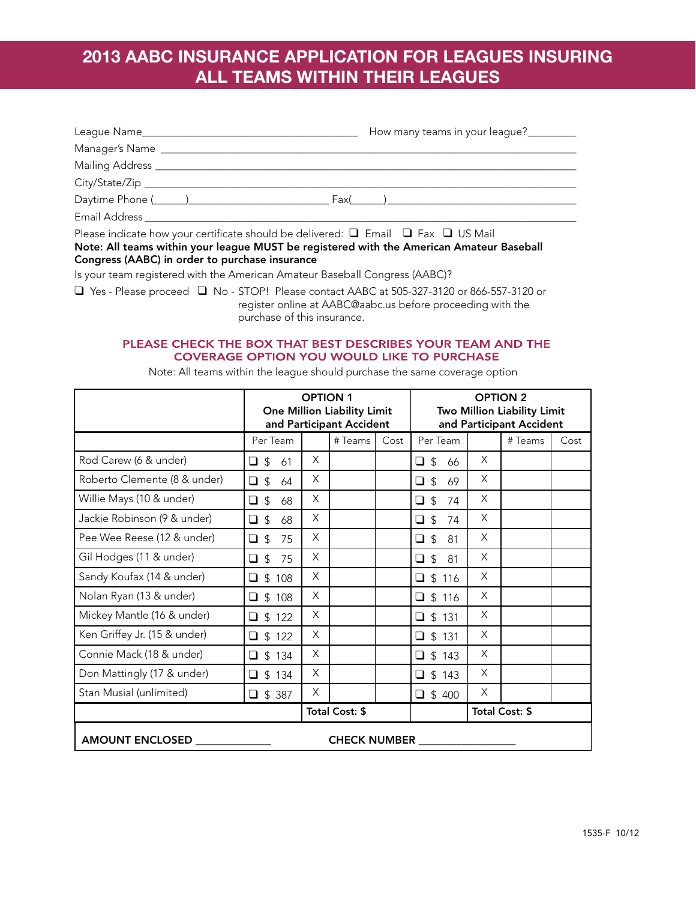# **2013 AABC INSURANCE APPLICATION FOR LEAGUES INSURING ALL TEAMS WITHIN THEIR LEAGUES**

|                                                                                                     | How many teams in your league?                                                                                                                                                                                                                    |
|-----------------------------------------------------------------------------------------------------|---------------------------------------------------------------------------------------------------------------------------------------------------------------------------------------------------------------------------------------------------|
|                                                                                                     |                                                                                                                                                                                                                                                   |
| Mailing Address _______________                                                                     |                                                                                                                                                                                                                                                   |
|                                                                                                     |                                                                                                                                                                                                                                                   |
|                                                                                                     | $Fax($ and $Fax($ and $Fax($ and $Fax($ and $Fax($ and $Fax($ and $Fax($ and $Fax($ and $Fax($ and $Fax($ and $Fax($ and $Fax($ and $Fax($ and $Fax($ and $Fax($ and $Fax($ and $Fax($ and $Fax($ and $Fax($ and $Fax($ and $Fax($ and $Fax($ and |
| Email Address ____________                                                                          |                                                                                                                                                                                                                                                   |
| $\Box$ . The second component of the second contributions of $\Box$ . The second $\Box$ in the M-SI |                                                                                                                                                                                                                                                   |

Please indicate how your certificate should be delivered:  $\Box$  Email  $\Box$  Fax  $\Box$  US Mail Note: All teams within your league MUST be registered with the American Amateur Baseball Congress (AABC) in order to purchase insurance

Is your team registered with the American Amateur Baseball Congress (AABC)?

 $\Box$  Yes - Please proceed  $\Box$  No - STOP! Please contact AABC at 505-327-3120 or 866-557-3120 or register online at AABC@aabc.us before proceeding with the purchase of this insurance.

### PLEASE CHECK THE BOX THAT BEST DESCRIBES YOUR TEAM AND THE **COVERAGE OPTION YOU WOULD LIKE TO PURCHASE**

|                                               | <b>OPTION 1</b><br><b>One Million Liability Limit</b><br>and Participant Accident |          |         | <b>OPTION 2</b><br>Two Million Liability Limit<br>and Participant Accident |                            |   |         |      |
|-----------------------------------------------|-----------------------------------------------------------------------------------|----------|---------|----------------------------------------------------------------------------|----------------------------|---|---------|------|
|                                               | Per Team                                                                          |          | # Teams | Cost                                                                       | Per Team                   |   | # Teams | Cost |
| Rod Carew (6 & under)                         | $\Box$ \$<br>61                                                                   | $\times$ |         |                                                                            | $\Box$ \$<br>66            | X |         |      |
| Roberto Clemente (8 & under)                  | $\Box$ \$<br>64                                                                   | X        |         |                                                                            | $\mathfrak{L}$<br>o.<br>69 | X |         |      |
| Willie Mays (10 & under)                      | $\Box$ \$<br>68                                                                   | X        |         |                                                                            | $\Box$ s<br>74             | X |         |      |
| Jackie Robinson (9 & under)                   | $\Box$ \$<br>68                                                                   | X        |         |                                                                            | $\Box$ \$<br>74            | X |         |      |
| Pee Wee Reese (12 & under)                    | $\Box$ \$<br>75                                                                   | X        |         |                                                                            | $\Box$ \$<br>81            | X |         |      |
| Gil Hodges (11 & under)                       | $\Box$ \$<br>75                                                                   | X        |         |                                                                            | $\Box$ \$<br>81            | X |         |      |
| Sandy Koufax (14 & under)                     | $\Box$ \$ 108                                                                     | X        |         |                                                                            | $\Box$ \$ 116              | X |         |      |
| Nolan Ryan (13 & under)                       | \$108<br>$\Box$                                                                   | X        |         |                                                                            | $\square$ \$ 116           | X |         |      |
| Mickey Mantle (16 & under)                    | $\Box$ \$ 122                                                                     | X        |         |                                                                            | $\Box$ \$ 131              | X |         |      |
| Ken Griffey Jr. (15 & under)                  | $\Box$ \$ 122                                                                     | X        |         |                                                                            | $\Box$ \$ 131              | X |         |      |
| Connie Mack (18 & under)                      | $\Box$ \$ 134                                                                     | X        |         |                                                                            | $\Box$ \$ 143              | X |         |      |
| Don Mattingly (17 & under)                    | \$134<br>$\Box$                                                                   | X        |         |                                                                            | $\Box$ \$ 143              | X |         |      |
| Stan Musial (unlimited)                       | $\Box$ \$ 387                                                                     | X        |         |                                                                            | $\Box$ \$400               | X |         |      |
| Total Cost: \$                                |                                                                                   |          |         |                                                                            | Total Cost: \$             |   |         |      |
| <b>AMOUNT ENCLOSED</b><br><b>CHECK NUMBER</b> |                                                                                   |          |         |                                                                            |                            |   |         |      |

Note: All teams within the league should purchase the same coverage option